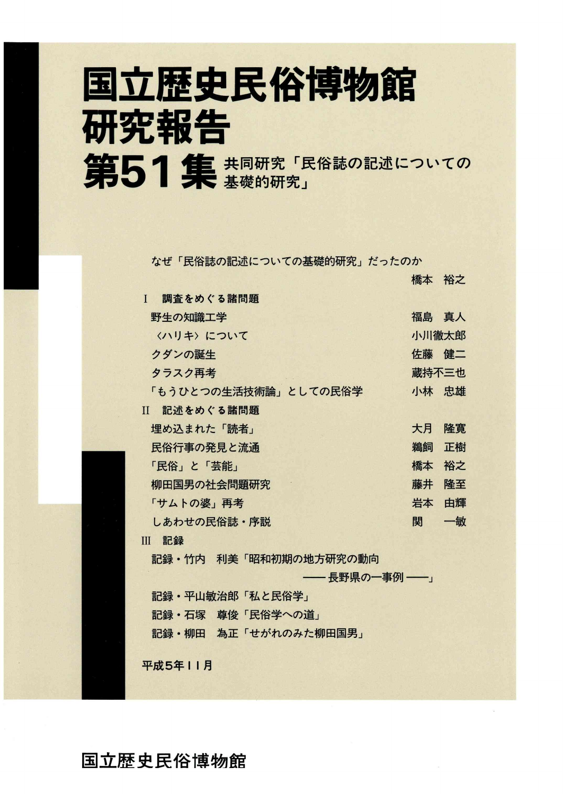# 国立歴史民俗博物館 研究報告 第51集 共同研究「民俗誌の記述についての

なぜ「民俗誌の記述についての基礎的研究」だったのか

|                           | 橋本 裕之 |    |
|---------------------------|-------|----|
| 調査をめぐる諸問題<br>$\mathbf{I}$ |       |    |
| 野生の知識工学                   | 福島 真人 |    |
| 〈ハリキ〉 について                | 小川徹太郎 |    |
| クダンの誕生                    | 佐藤 健二 |    |
| タラスク再考                    | 蔵持不三也 |    |
| 「もうひとつの生活技術論」としての民俗学      | 小林 忠雄 |    |
| II 記述をめぐる諸問題              |       |    |
| 埋め込まれた「読者」                | 大月    | 隆寬 |
| 民俗行事の発見と流通                | 鵜飼    | 正樹 |
| 「民俗」と「芸能」                 | 橋本    | 裕之 |
| 柳田国男の社会問題研究               | 藤井    | 隆至 |
| 「サムトの婆」再考                 | 岩本    | 由輝 |
| しあわせの民俗誌・序説               | 関     | 一敏 |
| Ⅲ 記録                      |       |    |
| 記録・竹内 利美「昭和初期の地方研究の動向     |       |    |
| ―― 長野県の一事例 ――」            |       |    |
| 記録・平山敏治郎「私と民俗学」           |       |    |
| 記録・石塚 尊俊「民俗学への道」          |       |    |
| 記録・柳田 為正「せがれのみた柳田国男」      |       |    |
|                           |       |    |

平成5年11月

III記録

国立歴史民俗博物館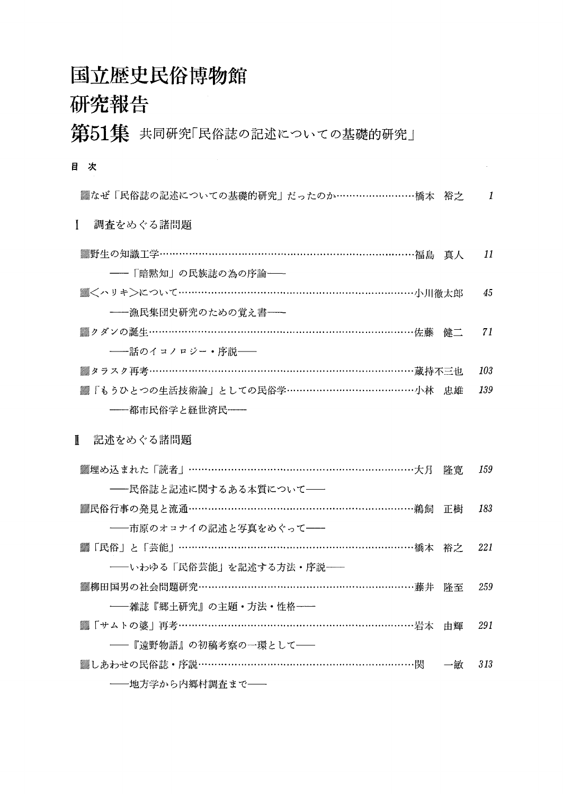### 国立歴史民俗博物館

### 研究報告

第51集 共同研究「民俗誌の記述についての基礎的研究」

目 次

| ▓なぜ「民俗誌の記述についての基礎的研究」だったのか……………………橋本 裕之  |    | 1   |
|------------------------------------------|----|-----|
| 調査をめぐる諸問題<br>L                           |    |     |
| ▒野生の知識工学…………………………………………………………………福島 真人   |    | 11  |
| - 「暗黙知」の民族誌の為の序論 -                       |    |     |
| ▒<ハリキ>について……………………………………………………………小川徹太郎   |    | 45  |
| - 漁民集団史研究のための覚え書 - -                     |    |     |
| ▓クダンの誕生…………………………………………………………………佐藤 健二    |    | 71  |
| ––話のイコノロジー・序説––                          |    |     |
| ▓タラスク再考……………………………………………………………………蔵持不三也   |    | 103 |
| ▓「もうひとつの生活技術論」としての民俗学……………………………………小林 忠雄 |    | 139 |
| ――都市民俗学と経世済民――                           |    |     |
| 記述をめぐる諸問題<br>$\mathbf{I}$                |    |     |
| ▒埋め込まれた「読者」……………………………………………………………大月     | 降實 | 159 |
| ──民俗誌と記述に関するある本質について──                   |    |     |
| ▒民俗行事の発見と流通…………………………………………………………鵜飼      | 正樹 | 183 |
| ──市原のオコナイの記述と写真をめぐって──                   |    |     |
| ▓「民俗」と「芸能」……………………………………………………………橋本 裕之   |    | 221 |
| -- いわゆる「民俗芸能」を記述する方法・序説--                |    |     |
| ▒柳田国男の社会問題研究………………………………………………………藤井 降至   |    |     |
|                                          |    | 259 |
| ----雑誌『郷土研究』の主題・方法・性格--                  |    |     |
| ▓「サムトの婆」再考……………………………………………………………岩本      | 由輝 | 291 |
| ──『遠野物語』の初稿考察の一環として──                    |    |     |
| ▓しあわせの民俗誌・序説………………………………………………………関  →敏   |    | 313 |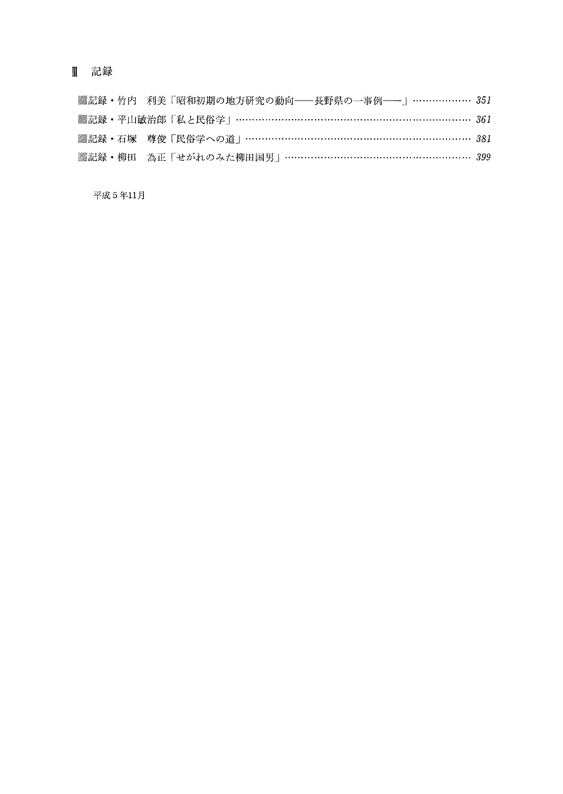#### 皿 記録

|  |  | ▒記録・竹内 利美「昭和初期の地方研究の動向──長野県の一事例──」……………… 351  |  |
|--|--|-----------------------------------------------|--|
|  |  | ▒記録・平山敏治郎 「私と民俗学」 …………………………………………………………… 361 |  |
|  |  | ▒記録・石塚 尊俊「民俗学への道」………………………………………………………… 381   |  |
|  |  | ▒記録・柳田 為正「せがれのみた柳田国男」………………………………………………… 399  |  |

平成5年11月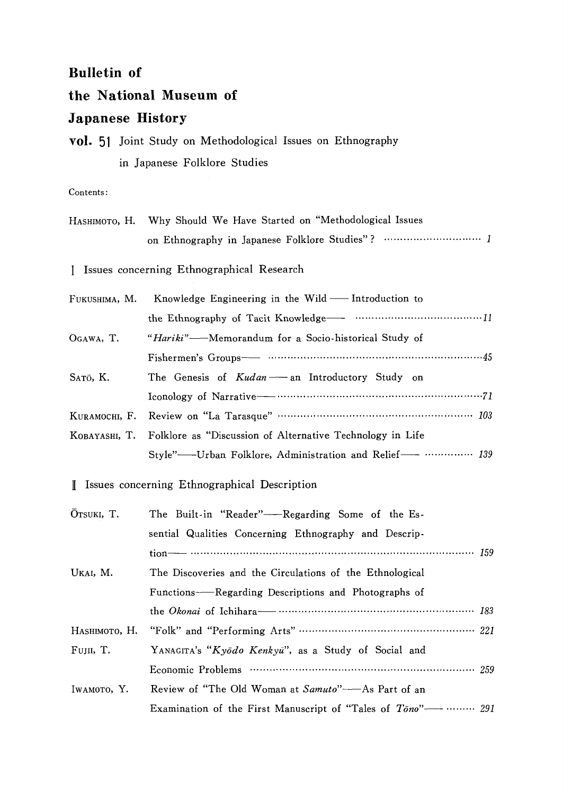#### **Bulletin of**

#### the National Museum of

#### **Japanese History**

|  | <b>vol.</b> 51 Joint Study on Methodological Issues on Ethnography |  |
|--|--------------------------------------------------------------------|--|
|  | in Japanese Folklore Studies                                       |  |

#### Contents:

|               | HASHIMOTO, H. Why Should We Have Started on "Methodological Issues |  |
|---------------|--------------------------------------------------------------------|--|
|               |                                                                    |  |
| Ι.            | Issues concerning Ethnographical Research                          |  |
| FUKUSHIMA, M. | Knowledge Engineering in the Wild - Introduction to                |  |
|               |                                                                    |  |
| OGAWA, T.     | "Hariki"-Memorandum for a Socio-historical Study of                |  |
|               |                                                                    |  |
| SATŌ, K.      | The Genesis of Kudan-an Introductory Study on                      |  |
|               |                                                                    |  |
| KURAMOCHI, F. | Review on "La Tarasque" …………………………………………… 103                      |  |
| KOBAYASHI, T. | Folklore as "Discussion of Alternative Technology in Life          |  |
|               | Style"-Urban Folklore, Administration and Relief- …………… 139        |  |
|               | I Issues concerning Ethnographical Description                     |  |
| OTSUKI, T.    | The Built-in "Reader"-Regarding Some of the Es-                    |  |
|               | sential Qualities Concerning Ethnography and Descrip-              |  |
|               |                                                                    |  |
| UKAI, M.      | The Discoveries and the Circulations of the Ethnological           |  |
|               | Functions——Regarding Descriptions and Photographs of               |  |
|               |                                                                    |  |
| Наѕнімото, Н. |                                                                    |  |
| FUJII, T.     | YANAGITA's "Kyodo Kenkyu", as a Study of Social and                |  |
|               |                                                                    |  |
| IWAMOTO, Y.   | Review of "The Old Woman at Samuto"-As Part of an                  |  |
|               | Examination of the First Manuscript of "Tales of Tono"-----  291   |  |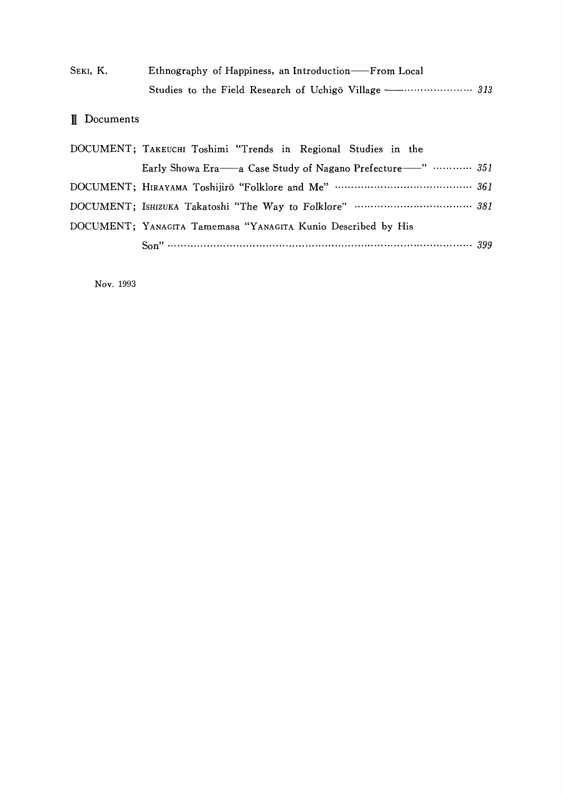| Seki, K. | Ethnography of Happiness, an Introduction—From Local |  |
|----------|------------------------------------------------------|--|
|          |                                                      |  |

#### 皿Documents

| DOCUMENT; TAKEUCHI Toshimi "Trends in Regional Studies in the     |  |
|-------------------------------------------------------------------|--|
| Early Showa Era—a Case Study of Nagano Prefecture—"  351          |  |
| DOCUMENT; HIRAYAMA Toshijirō "Folklore and Me" …………………………………… 361 |  |
|                                                                   |  |
| DOCUMENT; YANAGITA Tamemasa "YANAGITA Kunio Described by His      |  |
|                                                                   |  |

Nov.1993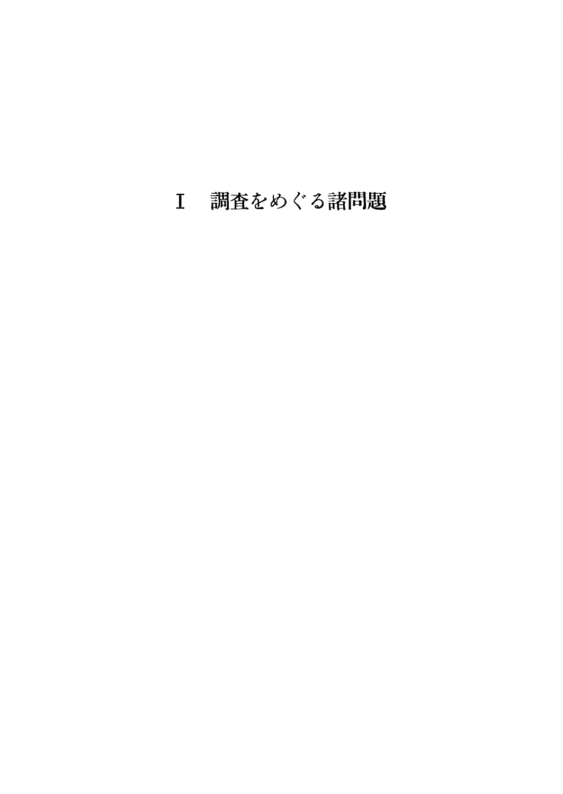## 調査をめぐる諸問題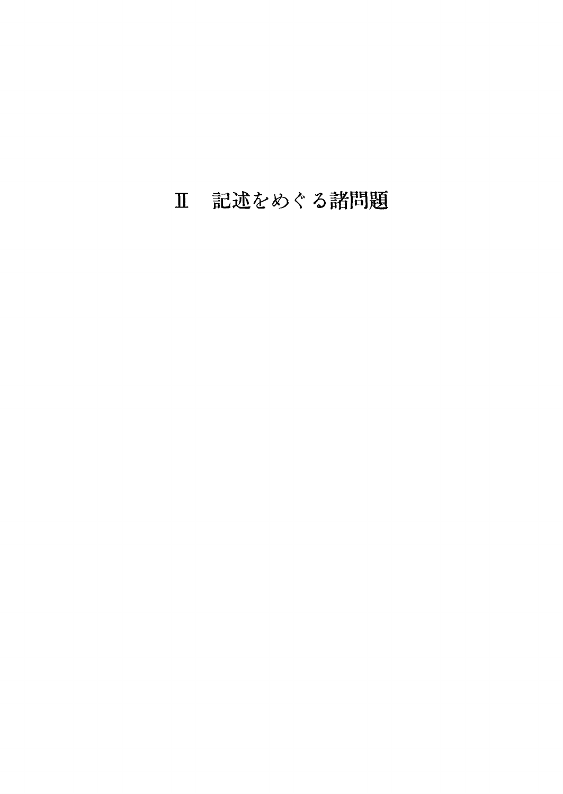## 記述をめぐる諸問題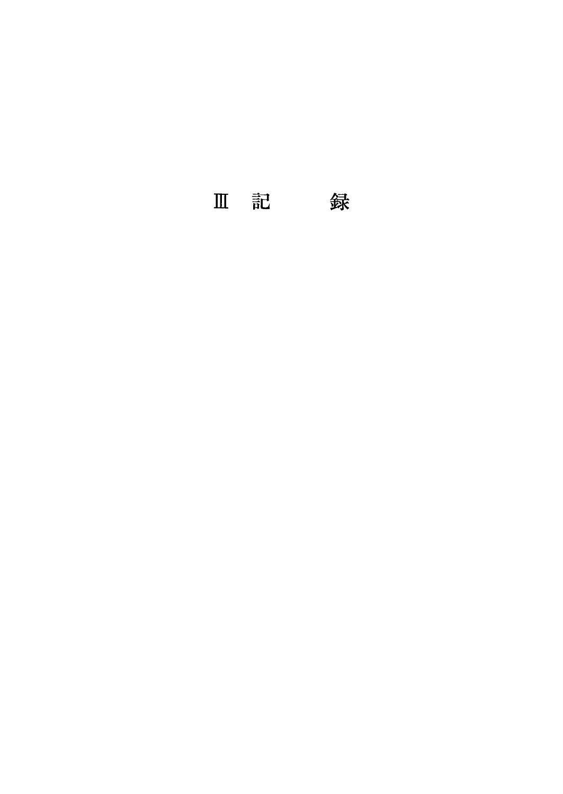Ⅲ 記 録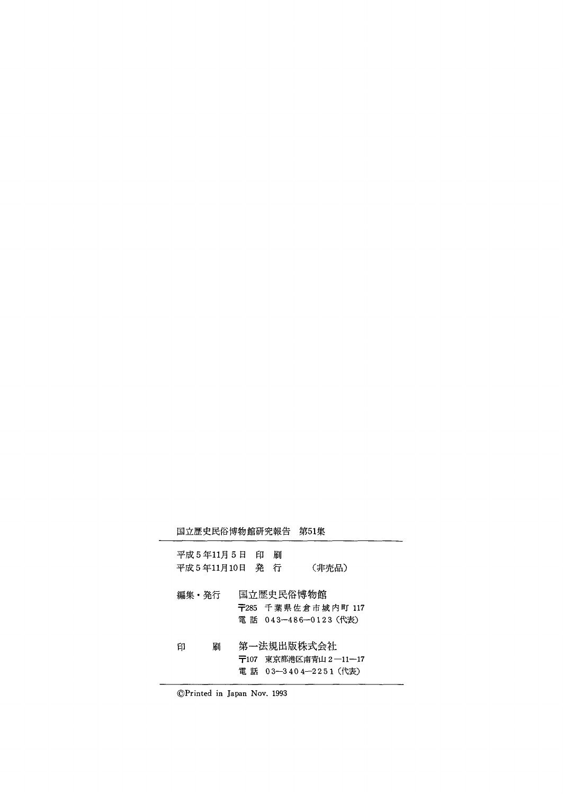|       |             |                |   | 国立歴史民俗博物館研究報告 第51集                                           |  |
|-------|-------------|----------------|---|--------------------------------------------------------------|--|
|       | 平成5年11月5日 印 | 平成5年11月10日 発 行 | 刷 | (非売品)                                                        |  |
| 編集・発行 |             |                |   | 国立歴史民俗博物館<br>〒285 千葉県佐倉市城内町 117<br>電 話 043-486-0123 (代表)     |  |
| 印     | 駲           |                |   | 第一法規出版株式会社<br>〒107 東京都港区南青山 2 ―11―17<br>電 話 03—3404—2251(代表) |  |

⑥Printed in Japan Nov、1993